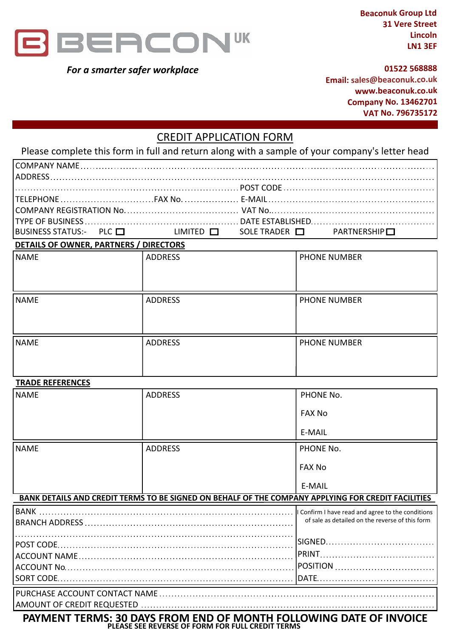

*For a smarter safer workplace*

**Beaconuk Group Ltd 31 Vere Street Lincoln LN1 3EF**

#### **01522 568888**

**Email: sales@beaconuk.co.uk www.beaconuk.co.uk Company No. 13462701 VAT No. 796735172**

# CREDIT APPLICATION FORM

Please complete this form in full and return along with a sample of your company's letter head

| $ {\rm BUSINESS}$ status:- PLC $\Box$ LIMITED $\Box$ SOLE TRADER $\Box$ PARTNERSHIP $\Box$ |  |  |
|--------------------------------------------------------------------------------------------|--|--|

### **DETAILS OF OWNER, PARTNERS / DIRECTORS**

| NAME | ADDRESS | PHONE NUMBER        |
|------|---------|---------------------|
| NAME | ADDRESS | <b>PHONE NUMBER</b> |
| NAME | ADDRESS | PHONE NUMBER        |

### **TRADE REFERENCES**

| <b>NAME</b>                                                                                                            | <b>ADDRESS</b> | PHONE No.                                                                                            |  |  |
|------------------------------------------------------------------------------------------------------------------------|----------------|------------------------------------------------------------------------------------------------------|--|--|
|                                                                                                                        |                | <b>FAX No</b>                                                                                        |  |  |
|                                                                                                                        |                | E-MAIL                                                                                               |  |  |
| <b>NAME</b>                                                                                                            | <b>ADDRESS</b> | PHONE No.                                                                                            |  |  |
|                                                                                                                        |                | <b>FAX No</b>                                                                                        |  |  |
|                                                                                                                        |                | E-MAIL                                                                                               |  |  |
| BANK DETAILS AND CREDIT TERMS TO BE SIGNED ON BEHALF OF THE COMPANY APPLYING FOR CREDIT FACILITIES                     |                |                                                                                                      |  |  |
| <b>BANK</b>                                                                                                            |                | I Confirm I have read and agree to the conditions<br>of sale as detailed on the reverse of this form |  |  |
|                                                                                                                        |                |                                                                                                      |  |  |
|                                                                                                                        |                |                                                                                                      |  |  |
|                                                                                                                        |                |                                                                                                      |  |  |
|                                                                                                                        |                |                                                                                                      |  |  |
|                                                                                                                        |                |                                                                                                      |  |  |
|                                                                                                                        |                |                                                                                                      |  |  |
| PAYMENT TERMS: 30 DAYS FROM END OF MONTH FOLLOWING DATE OF INVOICE<br>PLEASE SEE REVERSE OF FORM FOR FULL CREDIT TERMS |                |                                                                                                      |  |  |